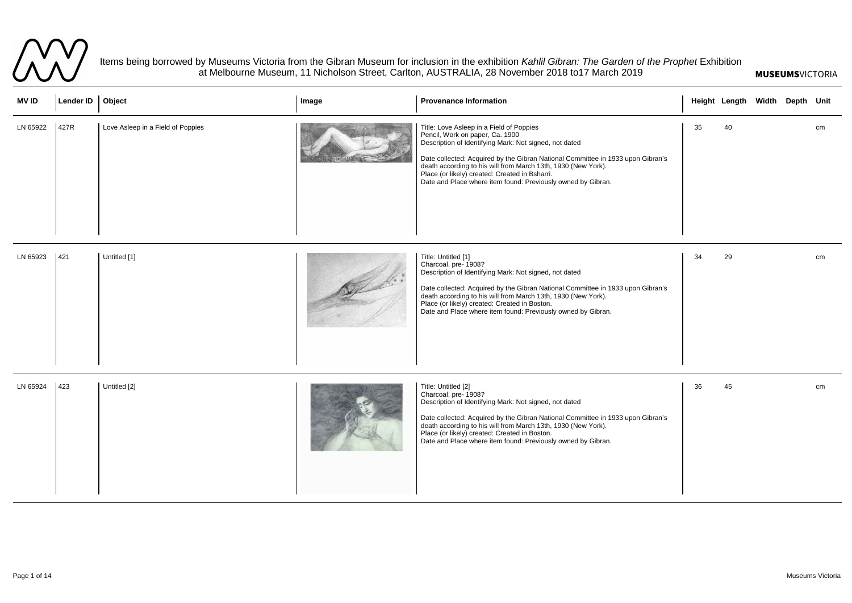

Items being borrowed by Museums Victoria from the Gibran Museum for inclusion in the exhibition *Kahlil Gibran: The Garden of the Prophet* Exhibition at Melbourne Museum, 11 Nicholson Street, Carlton, AUSTRALIA, 28 November 2018 to17 March 2019

| <b>MVID</b> | Lender ID   Object |                                   | Image | <b>Provenance Information</b>                                                                                                                                                                                                                                                                                                                                                                               |    | Height Length Width Depth Unit |  |    |
|-------------|--------------------|-----------------------------------|-------|-------------------------------------------------------------------------------------------------------------------------------------------------------------------------------------------------------------------------------------------------------------------------------------------------------------------------------------------------------------------------------------------------------------|----|--------------------------------|--|----|
| LN 65922    | 427R               | Love Asleep in a Field of Poppies |       | Title: Love Asleep in a Field of Poppies<br>Pencil, Work on paper, Ca. 1900<br>Description of Identifying Mark: Not signed, not dated<br>Date collected: Acquired by the Gibran National Committee in 1933 upon Gibran's<br>death according to his will from March 13th, 1930 (New York).<br>Place (or likely) created: Created in Bsharri.<br>Date and Place where item found: Previously owned by Gibran. | 35 | 40                             |  | cm |
| LN 65923    | 421                | Untitled [1]                      |       | Title: Untitled [1]<br>Charcoal, pre- 1908?<br>Description of Identifying Mark: Not signed, not dated<br>Date collected: Acquired by the Gibran National Committee in 1933 upon Gibran's<br>death according to his will from March 13th, 1930 (New York).<br>Place (or likely) created: Created in Boston.<br>Date and Place where item found: Previously owned by Gibran.                                  | 34 | 29                             |  | cm |
| LN 65924    |                    | Untitled [2]                      |       | Title: Untitled [2]<br>Charcoal, pre- 1908?<br>Description of Identifying Mark: Not signed, not dated<br>Date collected: Acquired by the Gibran National Committee in 1933 upon Gibran's<br>death according to his will from March 13th, 1930 (New York).<br>Place (or likely) created: Created in Boston.<br>Date and Place where item found: Previously owned by Gibran.                                  | 36 | 45                             |  | cm |

## **MUSEUMS**VICTORIA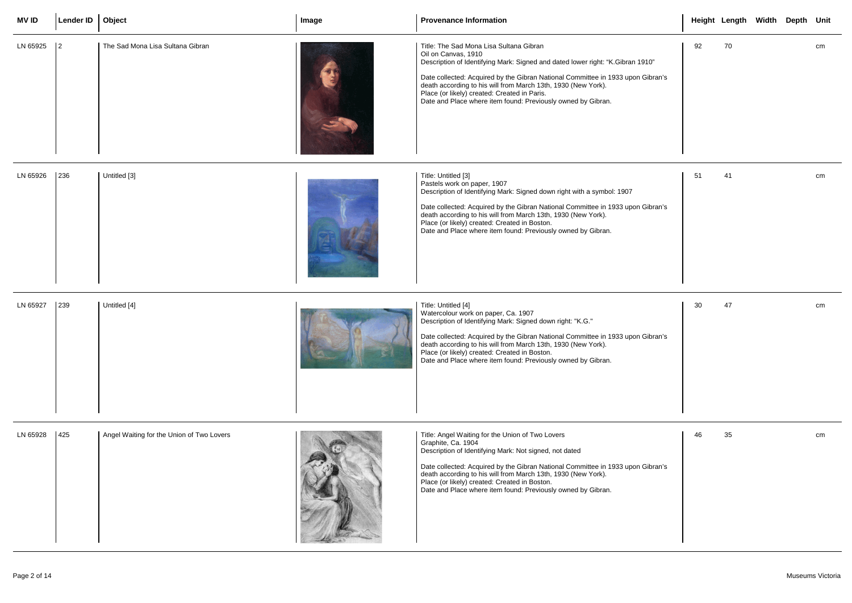| <b>MVID</b> | Lender ID   Object |                                           | Image | <b>Provenance Information</b>                                                                                                                                                                                                                                                                                                                                                                                        |     | Height Length Width Depth Unit |  |    |
|-------------|--------------------|-------------------------------------------|-------|----------------------------------------------------------------------------------------------------------------------------------------------------------------------------------------------------------------------------------------------------------------------------------------------------------------------------------------------------------------------------------------------------------------------|-----|--------------------------------|--|----|
| LN 65925    | $\vert$ 2          | The Sad Mona Lisa Sultana Gibran          |       | Title: The Sad Mona Lisa Sultana Gibran<br>Oil on Canvas, 1910<br>Description of Identifying Mark: Signed and dated lower right: "K.Gibran 1910"<br>Date collected: Acquired by the Gibran National Committee in 1933 upon Gibran's<br>death according to his will from March 13th, 1930 (New York).<br>Place (or likely) created: Created in Paris.<br>Date and Place where item found: Previously owned by Gibran. | 92  | 70                             |  | cm |
| LN 65926    |                    | Untitled [3]                              |       | Title: Untitled [3]<br>Pastels work on paper, 1907<br>Description of Identifying Mark: Signed down right with a symbol: 1907<br>Date collected: Acquired by the Gibran National Committee in 1933 upon Gibran's<br>death according to his will from March 13th, 1930 (New York).<br>Place (or likely) created: Created in Boston.<br>Date and Place where item found: Previously owned by Gibran.                    | -51 | 41                             |  | cm |
| LN 65927    |                    | Untitled [4]                              |       | Title: Untitled [4]<br>Watercolour work on paper, Ca. 1907<br>Description of Identifying Mark: Signed down right: "K.G."<br>Date collected: Acquired by the Gibran National Committee in 1933 upon Gibran's<br>death according to his will from March 13th, 1930 (New York).<br>Place (or likely) created: Created in Boston.<br>Date and Place where item found: Previously owned by Gibran.                        | 30  | 47                             |  | cm |
| LN 65928    | 425                | Angel Waiting for the Union of Two Lovers |       | Title: Angel Waiting for the Union of Two Lovers<br>Graphite, Ca. 1904<br>Description of Identifying Mark: Not signed, not dated<br>Date collected: Acquired by the Gibran National Committee in 1933 upon Gibran's<br>death according to his will from March 13th, 1930 (New York).<br>Place (or likely) created: Created in Boston.<br>Date and Place where item found: Previously owned by Gibran.                | 46  | 35                             |  | cm |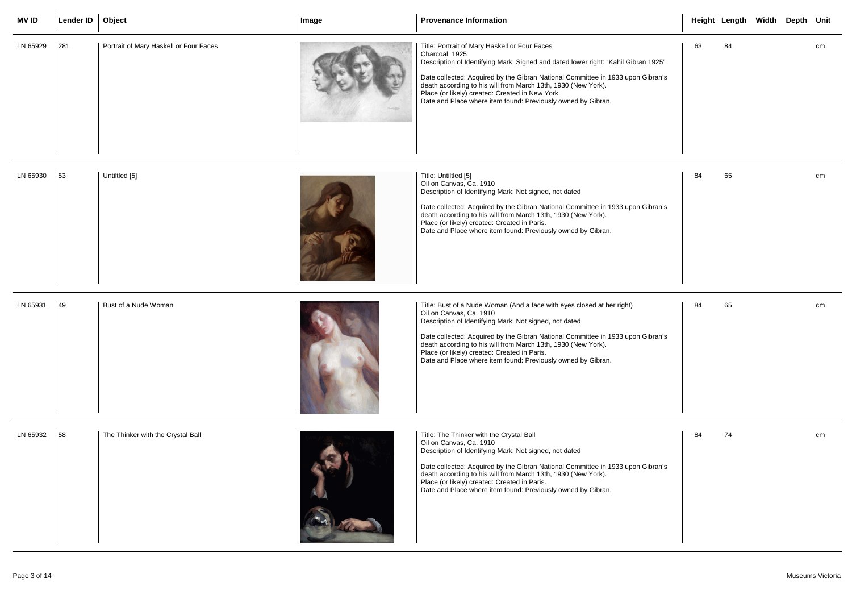| <b>MVID</b> | Lender ID | Object                                 | Image | <b>Provenance Information</b>                                                                                                                                                                                                                                                                                                                                                                                                   |    | Height Length Width Depth Unit |  |    |
|-------------|-----------|----------------------------------------|-------|---------------------------------------------------------------------------------------------------------------------------------------------------------------------------------------------------------------------------------------------------------------------------------------------------------------------------------------------------------------------------------------------------------------------------------|----|--------------------------------|--|----|
| LN 65929    | 281       | Portrait of Mary Haskell or Four Faces |       | Title: Portrait of Mary Haskell or Four Faces<br>Charcoal, 1925<br>Description of Identifying Mark: Signed and dated lower right: "Kahil Gibran 1925"<br>Date collected: Acquired by the Gibran National Committee in 1933 upon Gibran's<br>death according to his will from March 13th, 1930 (New York).<br>Place (or likely) created: Created in New York.<br>Date and Place where item found: Previously owned by Gibran.    | 63 | 84                             |  | cm |
| LN 65930    | 53        | Untiltled [5]                          |       | Title: Untiltled [5]<br>Oil on Canvas, Ca. 1910<br>Description of Identifying Mark: Not signed, not dated<br>Date collected: Acquired by the Gibran National Committee in 1933 upon Gibran's<br>death according to his will from March 13th, 1930 (New York).<br>Place (or likely) created: Created in Paris.<br>Date and Place where item found: Previously owned by Gibran.                                                   | 84 | 65                             |  | cm |
| LN 65931    | 49        | Bust of a Nude Woman                   |       | Title: Bust of a Nude Woman (And a face with eyes closed at her right)<br>Oil on Canvas, Ca. 1910<br>Description of Identifying Mark: Not signed, not dated<br>Date collected: Acquired by the Gibran National Committee in 1933 upon Gibran's<br>death according to his will from March 13th, 1930 (New York).<br>Place (or likely) created: Created in Paris.<br>Date and Place where item found: Previously owned by Gibran. | 84 | 65                             |  | cm |
| LN 65932    | 58        | The Thinker with the Crystal Ball      |       | Title: The Thinker with the Crystal Ball<br>Oil on Canvas, Ca. 1910<br>Description of Identifying Mark: Not signed, not dated<br>Date collected: Acquired by the Gibran National Committee in 1933 upon Gibran's<br>death according to his will from March 13th, 1930 (New York).<br>Place (or likely) created: Created in Paris.<br>Date and Place where item found: Previously owned by Gibran.                               | 84 | 74                             |  | cm |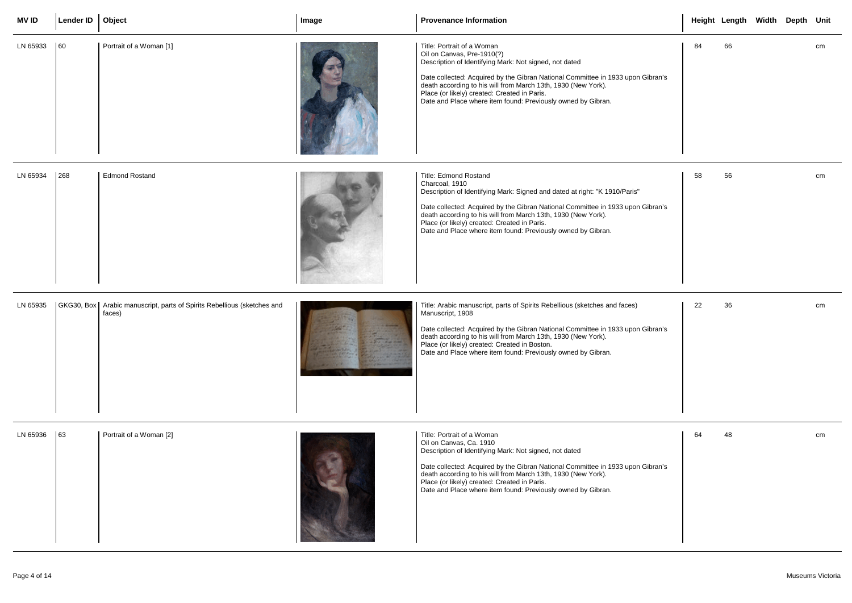| <b>MV ID</b> | Lender ID   Object |                                                                                     | Image | <b>Provenance Information</b>                                                                                                                                                                                                                                                                                                                                                             |    | Height Length Width Depth Unit |  |    |
|--------------|--------------------|-------------------------------------------------------------------------------------|-------|-------------------------------------------------------------------------------------------------------------------------------------------------------------------------------------------------------------------------------------------------------------------------------------------------------------------------------------------------------------------------------------------|----|--------------------------------|--|----|
| LN 65933     | $ 60\rangle$       | Portrait of a Woman [1]                                                             |       | Title: Portrait of a Woman<br>Oil on Canvas, Pre-1910(?)<br>Description of Identifying Mark: Not signed, not dated<br>Date collected: Acquired by the Gibran National Committee in 1933 upon Gibran's<br>death according to his will from March 13th, 1930 (New York).<br>Place (or likely) created: Created in Paris.<br>Date and Place where item found: Previously owned by Gibran.    | 84 | 66                             |  | cm |
| LN 65934     | 268                | <b>Edmond Rostand</b>                                                               |       | Title: Edmond Rostand<br>Charcoal, 1910<br>Description of Identifying Mark: Signed and dated at right: "K 1910/Paris"<br>Date collected: Acquired by the Gibran National Committee in 1933 upon Gibran's<br>death according to his will from March 13th, 1930 (New York).<br>Place (or likely) created: Created in Paris.<br>Date and Place where item found: Previously owned by Gibran. | 58 | 56                             |  | cm |
| LN 65935     |                    | GKG30, Box   Arabic manuscript, parts of Spirits Rebellious (sketches and<br>faces) |       | Title: Arabic manuscript, parts of Spirits Rebellious (sketches and faces)<br>Manuscript, 1908<br>Date collected: Acquired by the Gibran National Committee in 1933 upon Gibran's<br>death according to his will from March 13th, 1930 (New York).<br>Place (or likely) created: Created in Boston.<br>Date and Place where item found: Previously owned by Gibran.                       | 22 | 36                             |  | cm |
| LN 65936     | 63                 | Portrait of a Woman [2]                                                             |       | Title: Portrait of a Woman<br>Oil on Canvas, Ca. 1910<br>Description of Identifying Mark: Not signed, not dated<br>Date collected: Acquired by the Gibran National Committee in 1933 upon Gibran's<br>death according to his will from March 13th, 1930 (New York).<br>Place (or likely) created: Created in Paris.<br>Date and Place where item found: Previously owned by Gibran.       | 64 | 48                             |  | cm |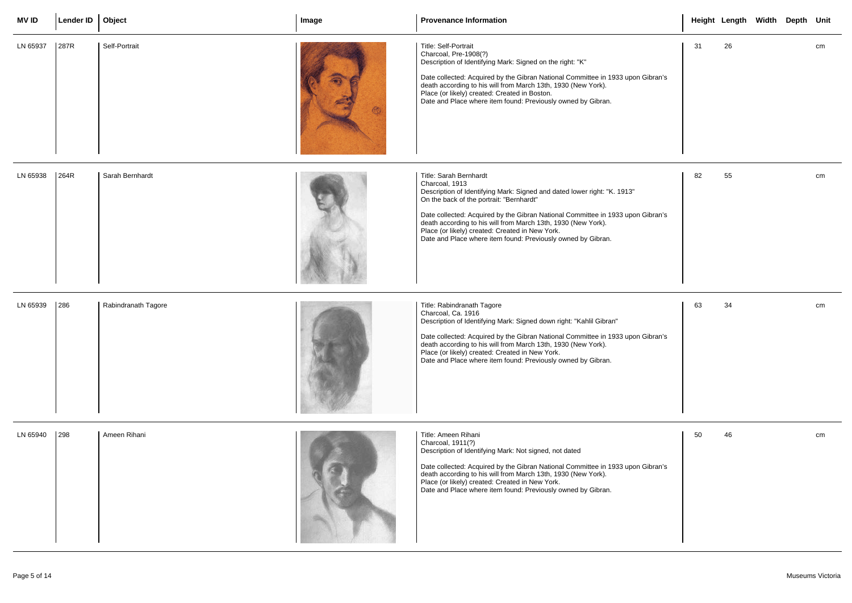| <b>MV ID</b> | Lender ID   Object |                     | Image | <b>Provenance Information</b>                                                                                                                                                                                                                                                                                                                                                                                                                  |    | Height Length Width Depth Unit |  |    |
|--------------|--------------------|---------------------|-------|------------------------------------------------------------------------------------------------------------------------------------------------------------------------------------------------------------------------------------------------------------------------------------------------------------------------------------------------------------------------------------------------------------------------------------------------|----|--------------------------------|--|----|
| LN 65937     | 287R               | Self-Portrait       |       | Title: Self-Portrait<br>Charcoal, Pre-1908(?)<br>Description of Identifying Mark: Signed on the right: "K"<br>Date collected: Acquired by the Gibran National Committee in 1933 upon Gibran's<br>death according to his will from March 13th, 1930 (New York).<br>Place (or likely) created: Created in Boston.<br>Date and Place where item found: Previously owned by Gibran.                                                                | 31 | 26                             |  | cm |
| LN 65938     | 264R               | Sarah Bernhardt     |       | <b>Title: Sarah Bernhardt</b><br>Charcoal, 1913<br>Description of Identifying Mark: Signed and dated lower right: "K. 1913"<br>On the back of the portrait: "Bernhardt"<br>Date collected: Acquired by the Gibran National Committee in 1933 upon Gibran's<br>death according to his will from March 13th, 1930 (New York).<br>Place (or likely) created: Created in New York.<br>Date and Place where item found: Previously owned by Gibran. | 82 | 55                             |  | cm |
| LN 65939     | 286                | Rabindranath Tagore |       | Title: Rabindranath Tagore<br>Charcoal, Ca. 1916<br>Description of Identifying Mark: Signed down right: "Kahlil Gibran"<br>Date collected: Acquired by the Gibran National Committee in 1933 upon Gibran's<br>death according to his will from March 13th, 1930 (New York).<br>Place (or likely) created: Created in New York.<br>Date and Place where item found: Previously owned by Gibran.                                                 | 63 | 34                             |  | cm |
| LN 65940     | $ 298\rangle$      | Ameen Rihani        |       | Title: Ameen Rihani<br>Charcoal, 1911(?)<br>Description of Identifying Mark: Not signed, not dated<br>Date collected: Acquired by the Gibran National Committee in 1933 upon Gibran's<br>death according to his will from March 13th, 1930 (New York).<br>Place (or likely) created: Created in New York.<br>Date and Place where item found: Previously owned by Gibran.                                                                      | 50 | 46                             |  | cm |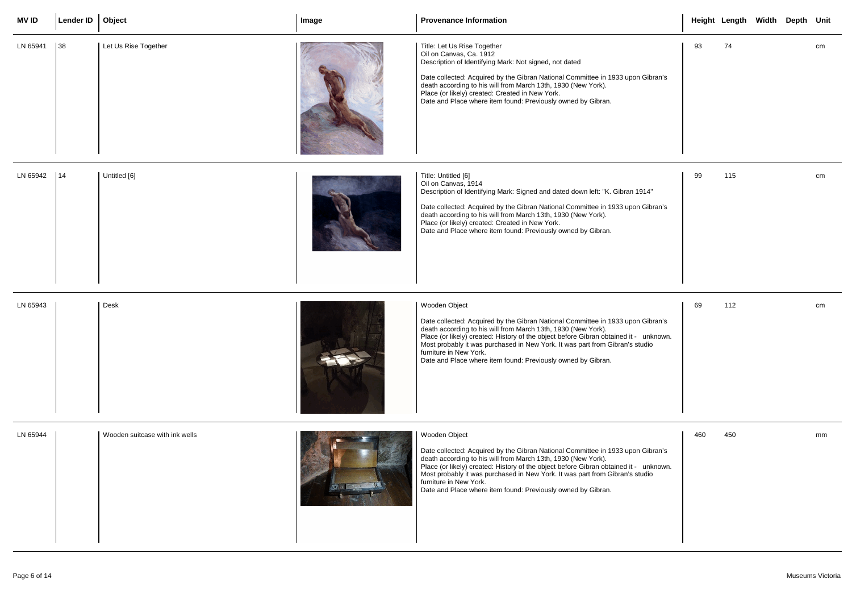| <b>MVID</b> | Lender ID   Object             |                                | Image | <b>Provenance Information</b>                                                                                                                                                                                                                                                                                                                                                                                                        |     | Height Length Width Depth Unit |  |    |
|-------------|--------------------------------|--------------------------------|-------|--------------------------------------------------------------------------------------------------------------------------------------------------------------------------------------------------------------------------------------------------------------------------------------------------------------------------------------------------------------------------------------------------------------------------------------|-----|--------------------------------|--|----|
| LN 65941    | $\begin{array}{c} \end{array}$ | Let Us Rise Together           |       | Title: Let Us Rise Together<br>Oil on Canvas, Ca. 1912<br>Description of Identifying Mark: Not signed, not dated<br>Date collected: Acquired by the Gibran National Committee in 1933 upon Gibran's<br>death according to his will from March 13th, 1930 (New York).<br>Place (or likely) created: Created in New York.<br>Date and Place where item found: Previously owned by Gibran.                                              | 93  | 74                             |  | cm |
| LN 65942    | 14                             | Untitled [6]                   |       | Title: Untitled [6]<br>Oil on Canvas, 1914<br>Description of Identifying Mark: Signed and dated down left: "K. Gibran 1914"<br>Date collected: Acquired by the Gibran National Committee in 1933 upon Gibran's<br>death according to his will from March 13th, 1930 (New York).<br>Place (or likely) created: Created in New York.<br>Date and Place where item found: Previously owned by Gibran.                                   | 99  | 115                            |  | cm |
| LN 65943    |                                | Desk                           |       | Wooden Object<br>Date collected: Acquired by the Gibran National Committee in 1933 upon Gibran's<br>death according to his will from March 13th, 1930 (New York).<br>Place (or likely) created: History of the object before Gibran obtained it - unknown.<br>Most probably it was purchased in New York. It was part from Gibran's studio<br>furniture in New York.<br>Date and Place where item found: Previously owned by Gibran. | 69  | 112                            |  | cm |
| LN 65944    |                                | Wooden suitcase with ink wells |       | Wooden Object<br>Date collected: Acquired by the Gibran National Committee in 1933 upon Gibran's<br>death according to his will from March 13th, 1930 (New York).<br>Place (or likely) created: History of the object before Gibran obtained it - unknown.<br>Most probably it was purchased in New York. It was part from Gibran's studio<br>furniture in New York.<br>Date and Place where item found: Previously owned by Gibran. | 460 | 450                            |  | mm |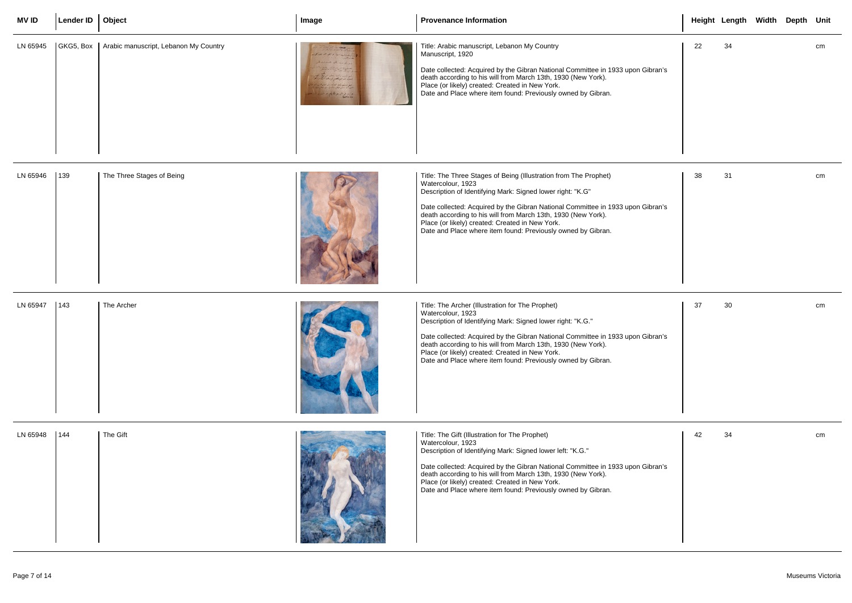| <b>MVID</b> | Lender ID   Object |                                                   | Image      | <b>Provenance Information</b>                                                                                                                                                                                                                                                                                                                                                                                              |    | Height Length Width Depth Unit |  |    |
|-------------|--------------------|---------------------------------------------------|------------|----------------------------------------------------------------------------------------------------------------------------------------------------------------------------------------------------------------------------------------------------------------------------------------------------------------------------------------------------------------------------------------------------------------------------|----|--------------------------------|--|----|
| LN 65945    |                    | GKG5, Box   Arabic manuscript, Lebanon My Country | address 22 | Title: Arabic manuscript, Lebanon My Country<br>Manuscript, 1920<br>Date collected: Acquired by the Gibran National Committee in 1933 upon Gibran's<br>death according to his will from March 13th, 1930 (New York).<br>Place (or likely) created: Created in New York.<br>Date and Place where item found: Previously owned by Gibran.                                                                                    | 22 | 34                             |  | cm |
| LN 65946    | 139                | The Three Stages of Being                         |            | Title: The Three Stages of Being (Illustration from The Prophet)<br>Watercolour, 1923<br>Description of Identifying Mark: Signed lower right: "K.G"<br>Date collected: Acquired by the Gibran National Committee in 1933 upon Gibran's<br>death according to his will from March 13th, 1930 (New York).<br>Place (or likely) created: Created in New York.<br>Date and Place where item found: Previously owned by Gibran. | 38 | 31                             |  | cm |
| LN 65947    | 143                | The Archer                                        |            | Title: The Archer (Illustration for The Prophet)<br>Watercolour, 1923<br>Description of Identifying Mark: Signed lower right: "K.G."<br>Date collected: Acquired by the Gibran National Committee in 1933 upon Gibran's<br>death according to his will from March 13th, 1930 (New York).<br>Place (or likely) created: Created in New York.<br>Date and Place where item found: Previously owned by Gibran.                | 37 | 30                             |  | cm |
| LN 65948    | $\vert$ 144        | The Gift                                          |            | Title: The Gift (Illustration for The Prophet)<br>Watercolour, 1923<br>Description of Identifying Mark: Signed lower left: "K.G."<br>Date collected: Acquired by the Gibran National Committee in 1933 upon Gibran's<br>death according to his will from March 13th, 1930 (New York).<br>Place (or likely) created: Created in New York.<br>Date and Place where item found: Previously owned by Gibran.                   | 42 | 34                             |  | cm |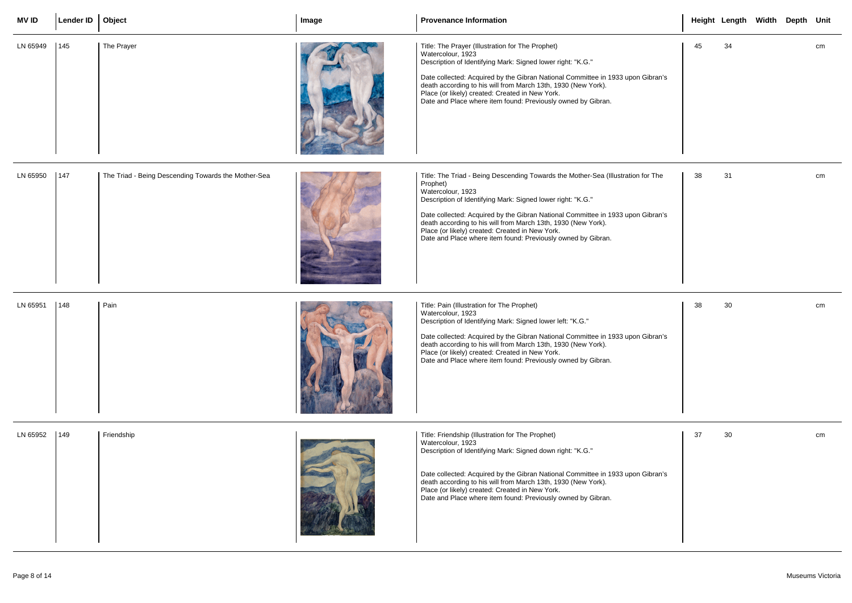| <b>MVID</b> | Lender ID   Object |                                                     | Image | <b>Provenance Information</b>                                                                                                                                                                                                                                                                                                                                                                                                                           |    | Height Length Width Depth Unit |  |    |
|-------------|--------------------|-----------------------------------------------------|-------|---------------------------------------------------------------------------------------------------------------------------------------------------------------------------------------------------------------------------------------------------------------------------------------------------------------------------------------------------------------------------------------------------------------------------------------------------------|----|--------------------------------|--|----|
| LN 65949    | $\vert$ 145        | The Prayer                                          |       | Title: The Prayer (Illustration for The Prophet)<br>Watercolour, 1923<br>Description of Identifying Mark: Signed lower right: "K.G."<br>Date collected: Acquired by the Gibran National Committee in 1933 upon Gibran's<br>death according to his will from March 13th, 1930 (New York).<br>Place (or likely) created: Created in New York.<br>Date and Place where item found: Previously owned by Gibran.                                             | 45 | 34                             |  | cm |
| LN 65950    | 147                | The Triad - Being Descending Towards the Mother-Sea |       | Title: The Triad - Being Descending Towards the Mother-Sea (Illustration for The<br>Prophet)<br>Watercolour, 1923<br>Description of Identifying Mark: Signed lower right: "K.G."<br>Date collected: Acquired by the Gibran National Committee in 1933 upon Gibran's<br>death according to his will from March 13th, 1930 (New York).<br>Place (or likely) created: Created in New York.<br>Date and Place where item found: Previously owned by Gibran. | 38 | 31                             |  | cm |
| LN 65951    | $ 148\rangle$      | Pain                                                |       | Title: Pain (Illustration for The Prophet)<br>Watercolour, 1923<br>Description of Identifying Mark: Signed lower left: "K.G."<br>Date collected: Acquired by the Gibran National Committee in 1933 upon Gibran's<br>death according to his will from March 13th, 1930 (New York).<br>Place (or likely) created: Created in New York.<br>Date and Place where item found: Previously owned by Gibran.                                                    | 38 | 30                             |  | cm |
| LN 65952    | $ 149\rangle$      | Friendship                                          |       | Title: Friendship (Illustration for The Prophet)<br>Watercolour, 1923<br>Description of Identifying Mark: Signed down right: "K.G."<br>Date collected: Acquired by the Gibran National Committee in 1933 upon Gibran's<br>death according to his will from March 13th, 1930 (New York).<br>Place (or likely) created: Created in New York.<br>Date and Place where item found: Previously owned by Gibran.                                              | 37 | 30                             |  | cm |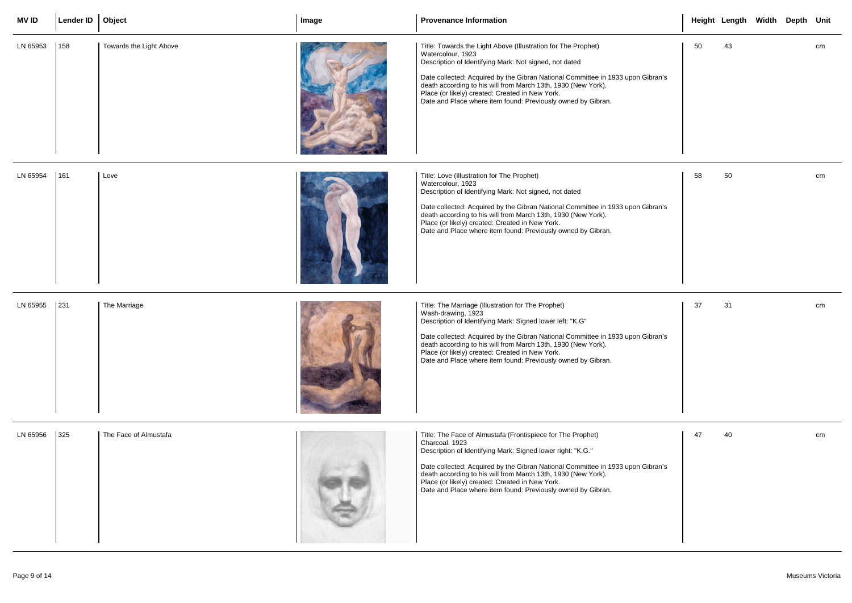| <b>MVID</b> | Lender ID   Object |                         | Image | <b>Provenance Information</b>                                                                                                                                                                                                                                                                                                                                                                                       |    | Height Length Width Depth Unit |  |    |
|-------------|--------------------|-------------------------|-------|---------------------------------------------------------------------------------------------------------------------------------------------------------------------------------------------------------------------------------------------------------------------------------------------------------------------------------------------------------------------------------------------------------------------|----|--------------------------------|--|----|
| LN 65953    | 158                | Towards the Light Above |       | Title: Towards the Light Above (Illustration for The Prophet)<br>Watercolour, 1923<br>Description of Identifying Mark: Not signed, not dated<br>Date collected: Acquired by the Gibran National Committee in 1933 upon Gibran's<br>death according to his will from March 13th, 1930 (New York).<br>Place (or likely) created: Created in New York.<br>Date and Place where item found: Previously owned by Gibran. | 50 | 43                             |  | cm |
| LN 65954    | 161                | Love                    |       | Title: Love (Illustration for The Prophet)<br>Watercolour, 1923<br>Description of Identifying Mark: Not signed, not dated<br>Date collected: Acquired by the Gibran National Committee in 1933 upon Gibran's<br>death according to his will from March 13th, 1930 (New York).<br>Place (or likely) created: Created in New York.<br>Date and Place where item found: Previously owned by Gibran.                    | 58 | 50                             |  | cm |
| LN 65955    | 231                | The Marriage            |       | Title: The Marriage (Illustration for The Prophet)<br>Wash-drawing, 1923<br>Description of Identifying Mark: Signed lower left: "K.G"<br>Date collected: Acquired by the Gibran National Committee in 1933 upon Gibran's<br>death according to his will from March 13th, 1930 (New York).<br>Place (or likely) created: Created in New York.<br>Date and Place where item found: Previously owned by Gibran.        | 37 | 31                             |  | cm |
| LN 65956    | $325$              | The Face of Almustafa   |       | Title: The Face of Almustafa (Frontispiece for The Prophet)<br>Charcoal, 1923<br>Description of Identifying Mark: Signed lower right: "K.G."<br>Date collected: Acquired by the Gibran National Committee in 1933 upon Gibran's<br>death according to his will from March 13th, 1930 (New York).<br>Place (or likely) created: Created in New York.<br>Date and Place where item found: Previously owned by Gibran. | 47 | 40                             |  | cm |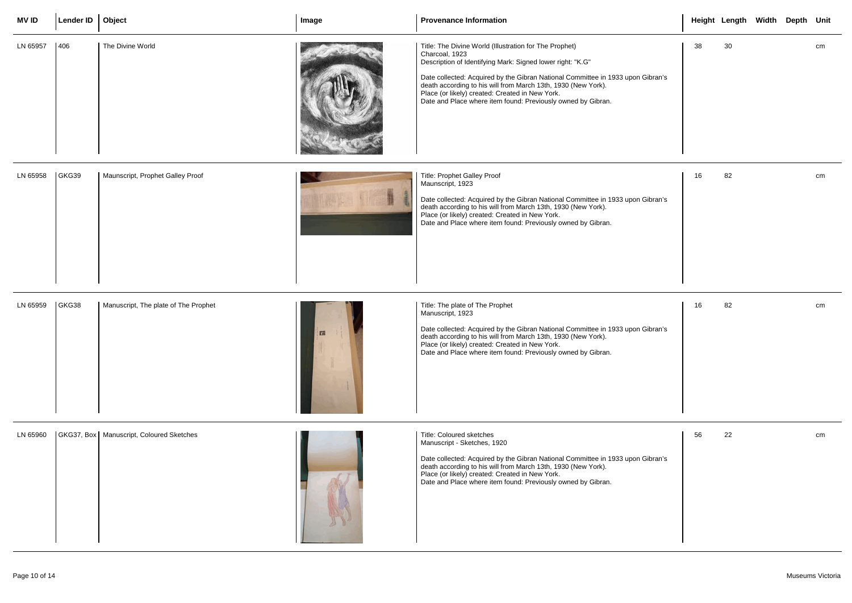| <b>MV ID</b> | Lender ID   Object |                                            | Image | <b>Provenance Information</b>                                                                                                                                                                                                                                                                                                                                                                                 |    | Height Length Width Depth Unit |  |    |
|--------------|--------------------|--------------------------------------------|-------|---------------------------------------------------------------------------------------------------------------------------------------------------------------------------------------------------------------------------------------------------------------------------------------------------------------------------------------------------------------------------------------------------------------|----|--------------------------------|--|----|
| LN 65957     | 406                | The Divine World                           |       | Title: The Divine World (Illustration for The Prophet)<br>Charcoal, 1923<br>Description of Identifying Mark: Signed lower right: "K.G"<br>Date collected: Acquired by the Gibran National Committee in 1933 upon Gibran's<br>death according to his will from March 13th, 1930 (New York).<br>Place (or likely) created: Created in New York.<br>Date and Place where item found: Previously owned by Gibran. | 38 | 30                             |  | cm |
| LN 65958     | GKG39              | Maunscript, Prophet Galley Proof           |       | Title: Prophet Galley Proof<br>Maunscript, 1923<br>Date collected: Acquired by the Gibran National Committee in 1933 upon Gibran's<br>death according to his will from March 13th, 1930 (New York).<br>Place (or likely) created: Created in New York.<br>Date and Place where item found: Previously owned by Gibran.                                                                                        | 16 | 82                             |  | cm |
| LN 65959     | GKG38              | Manuscript, The plate of The Prophet       |       | Title: The plate of The Prophet<br>Manuscript, 1923<br>Date collected: Acquired by the Gibran National Committee in 1933 upon Gibran's<br>death according to his will from March 13th, 1930 (New York).<br>Place (or likely) created: Created in New York.<br>Date and Place where item found: Previously owned by Gibran.                                                                                    | 16 | 82                             |  | cm |
| LN 65960     |                    | GKG37, Box   Manuscript, Coloured Sketches |       | Title: Coloured sketches<br>Manuscript - Sketches, 1920<br>Date collected: Acquired by the Gibran National Committee in 1933 upon Gibran's<br>death according to his will from March 13th, 1930 (New York).<br>Place (or likely) created: Created in New York.<br>Date and Place where item found: Previously owned by Gibran.                                                                                | 56 | 22                             |  | cm |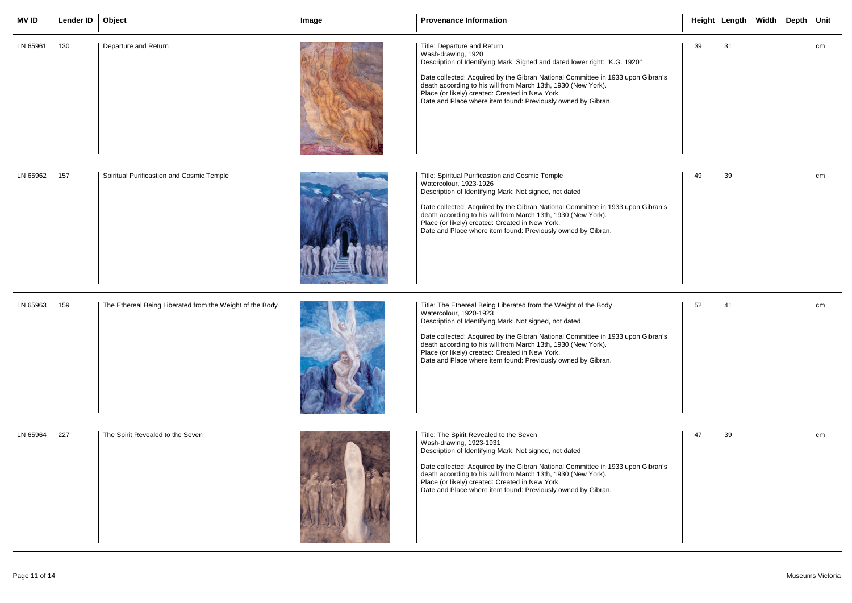| <b>MVID</b> | Lender ID   Object                         |                                                          | Image | <b>Provenance Information</b>                                                                                                                                                                                                                                                                                                                                                                                              |    | Height Length Width Depth Unit |  |    |
|-------------|--------------------------------------------|----------------------------------------------------------|-------|----------------------------------------------------------------------------------------------------------------------------------------------------------------------------------------------------------------------------------------------------------------------------------------------------------------------------------------------------------------------------------------------------------------------------|----|--------------------------------|--|----|
| LN 65961    | $ 130\rangle$                              | Departure and Return                                     |       | Title: Departure and Return<br>Wash-drawing, 1920<br>Description of Identifying Mark: Signed and dated lower right: "K.G. 1920"<br>Date collected: Acquired by the Gibran National Committee in 1933 upon Gibran's<br>death according to his will from March 13th, 1930 (New York).<br>Place (or likely) created: Created in New York.<br>Date and Place where item found: Previously owned by Gibran.                     | 39 | 31                             |  | cm |
| LN 65962    | 157                                        | Spiritual Purificastion and Cosmic Temple                |       | Title: Spiritual Purificastion and Cosmic Temple<br>Watercolour, 1923-1926<br>Description of Identifying Mark: Not signed, not dated<br>Date collected: Acquired by the Gibran National Committee in 1933 upon Gibran's<br>death according to his will from March 13th, 1930 (New York).<br>Place (or likely) created: Created in New York.<br>Date and Place where item found: Previously owned by Gibran.                | 49 | 39                             |  | cm |
| LN 65963    | 159                                        | The Ethereal Being Liberated from the Weight of the Body |       | Title: The Ethereal Being Liberated from the Weight of the Body<br>Watercolour, 1920-1923<br>Description of Identifying Mark: Not signed, not dated<br>Date collected: Acquired by the Gibran National Committee in 1933 upon Gibran's<br>death according to his will from March 13th, 1930 (New York).<br>Place (or likely) created: Created in New York.<br>Date and Place where item found: Previously owned by Gibran. | 52 | 41                             |  | cm |
| LN 65964    | $\begin{array}{c} \boxed{227} \end{array}$ | The Spirit Revealed to the Seven                         |       | Title: The Spirit Revealed to the Seven<br>Wash-drawing, 1923-1931<br>Description of Identifying Mark: Not signed, not dated<br>Date collected: Acquired by the Gibran National Committee in 1933 upon Gibran's<br>death according to his will from March 13th, 1930 (New York).<br>Place (or likely) created: Created in New York.<br>Date and Place where item found: Previously owned by Gibran.                        | 47 | 39                             |  | cm |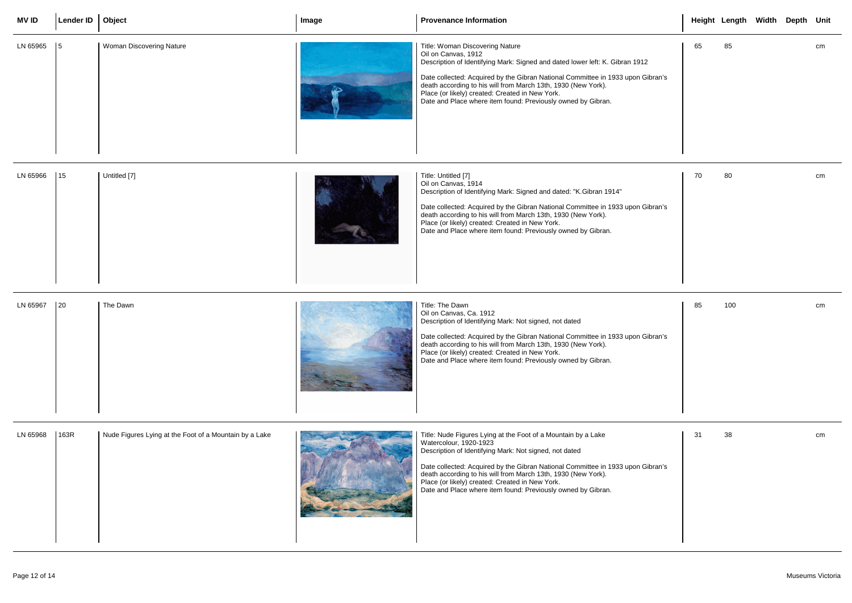| <b>MV ID</b> | Lender ID   Object |                                                        | Image | <b>Provenance Information</b>                                                                                                                                                                                                                                                                                                                                                                                            |    | Height Length Width Depth Unit |  |    |
|--------------|--------------------|--------------------------------------------------------|-------|--------------------------------------------------------------------------------------------------------------------------------------------------------------------------------------------------------------------------------------------------------------------------------------------------------------------------------------------------------------------------------------------------------------------------|----|--------------------------------|--|----|
| LN 65965     | 15                 | Woman Discovering Nature                               |       | Title: Woman Discovering Nature<br>Oil on Canvas, 1912<br>Description of Identifying Mark: Signed and dated lower left: K. Gibran 1912<br>Date collected: Acquired by the Gibran National Committee in 1933 upon Gibran's<br>death according to his will from March 13th, 1930 (New York).<br>Place (or likely) created: Created in New York.<br>Date and Place where item found: Previously owned by Gibran.            | 65 | 85                             |  | cm |
| LN 65966     | 15                 | Untitled [7]                                           |       | Title: Untitled [7]<br>Oil on Canvas, 1914<br>Description of Identifying Mark: Signed and dated: "K.Gibran 1914"<br>Date collected: Acquired by the Gibran National Committee in 1933 upon Gibran's<br>death according to his will from March 13th, 1930 (New York).<br>Place (or likely) created: Created in New York.<br>Date and Place where item found: Previously owned by Gibran.                                  | 70 | 80                             |  | cm |
| LN 65967     | $\vert$ 20         | The Dawn                                               |       | Title: The Dawn<br>Oil on Canvas, Ca. 1912<br>Description of Identifying Mark: Not signed, not dated<br>Date collected: Acquired by the Gibran National Committee in 1933 upon Gibran's<br>death according to his will from March 13th, 1930 (New York).<br>Place (or likely) created: Created in New York.<br>Date and Place where item found: Previously owned by Gibran.                                              | 85 | 100                            |  | cm |
| LN 65968     | 163R               | Nude Figures Lying at the Foot of a Mountain by a Lake |       | Title: Nude Figures Lying at the Foot of a Mountain by a Lake<br>Watercolour, 1920-1923<br>Description of Identifying Mark: Not signed, not dated<br>Date collected: Acquired by the Gibran National Committee in 1933 upon Gibran's<br>death according to his will from March 13th, 1930 (New York).<br>Place (or likely) created: Created in New York.<br>Date and Place where item found: Previously owned by Gibran. | 31 | 38                             |  | cm |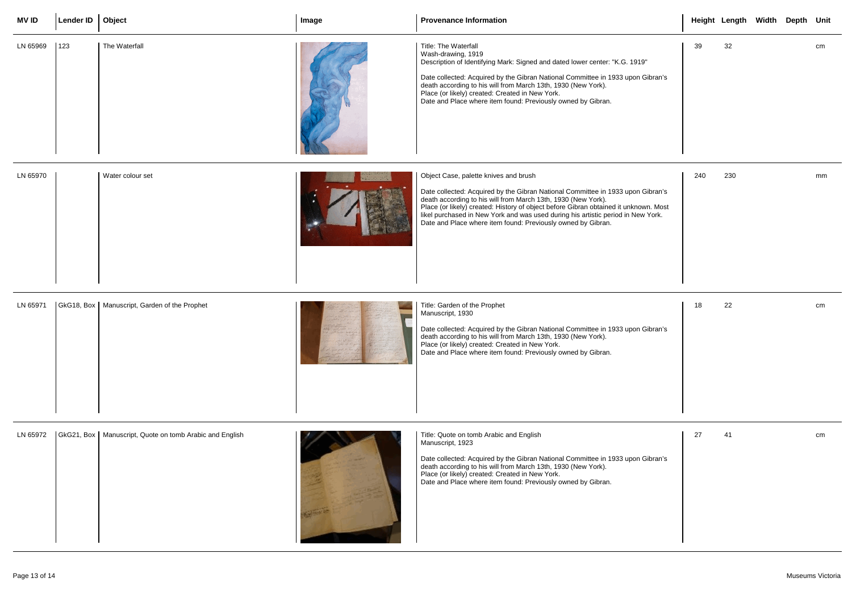| <b>MVID</b> | Lender ID   Object |                                                           | Image | <b>Provenance Information</b>                                                                                                                                                                                                                                                                                                                                                                                                         |     | Height Length Width Depth Unit |  |    |
|-------------|--------------------|-----------------------------------------------------------|-------|---------------------------------------------------------------------------------------------------------------------------------------------------------------------------------------------------------------------------------------------------------------------------------------------------------------------------------------------------------------------------------------------------------------------------------------|-----|--------------------------------|--|----|
| LN 65969    | 123                | The Waterfall                                             |       | Title: The Waterfall<br>Wash-drawing, 1919<br>Description of Identifying Mark: Signed and dated lower center: "K.G. 1919"<br>Date collected: Acquired by the Gibran National Committee in 1933 upon Gibran's<br>death according to his will from March 13th, 1930 (New York).<br>Place (or likely) created: Created in New York.<br>Date and Place where item found: Previously owned by Gibran.                                      | 39  | 32                             |  | cm |
| LN 65970    |                    | Water colour set                                          |       | Object Case, palette knives and brush<br>Date collected: Acquired by the Gibran National Committee in 1933 upon Gibran's<br>death according to his will from March 13th, 1930 (New York).<br>Place (or likely) created: History of object before Gibran obtained it unknown. Most<br>likel purchased in New York and was used during his artistic period in New York.<br>Date and Place where item found: Previously owned by Gibran. | 240 | 230                            |  | mm |
| LN 65971    |                    | GkG18, Box   Manuscript, Garden of the Prophet            |       | Title: Garden of the Prophet<br>Manuscript, 1930<br>Date collected: Acquired by the Gibran National Committee in 1933 upon Gibran's<br>death according to his will from March 13th, 1930 (New York).<br>Place (or likely) created: Created in New York.<br>Date and Place where item found: Previously owned by Gibran.                                                                                                               | 18  | 22                             |  | cm |
| LN 65972    |                    | GkG21, Box   Manuscript, Quote on tomb Arabic and English |       | Title: Quote on tomb Arabic and English<br>Manuscript, 1923<br>Date collected: Acquired by the Gibran National Committee in 1933 upon Gibran's<br>death according to his will from March 13th, 1930 (New York).<br>Place (or likely) created: Created in New York.<br>Date and Place where item found: Previously owned by Gibran.                                                                                                    | 27  | 41                             |  | cm |